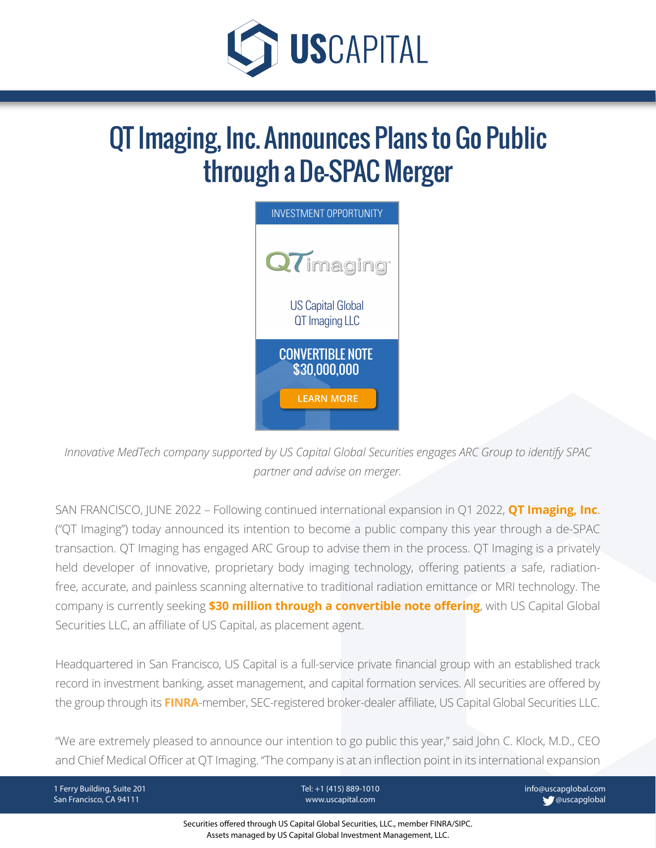

# QT Imaging, Inc. Announces Plans to Go Public through a De-SPAC Merger



*Innovative MedTech company [supported by U](https://uscapital.com/)S Capital Global Securities engages ARC Group to identify SPAC partner and advise on merger.*

SAN FRANCISCO, JUNE 2022 – Following continued international expansion in Q1 2022, **[QT Imaging, Inc](https://www.qtimaging.com/)**. ("QT Imaging") today announced its intention to become a public company this year through a de-SPAC transaction. QT Imaging has engaged ARC Group to advise them in the process. QT Imaging is a privately held developer of innovative, proprietary body imaging technology, offering patients a safe, radiationfree, accurate, and painless scanning alternative to traditional radiation emittance or MRI technology. The company is currently seeking **[\\$30 million through a convertible note offering](https://www.uscapglobalsecurities.com/investment-overview/qt-imaging-investment-overview.html)**, with US Capital Global Securities LLC, an affiliate of US Capital, as placement agent.

Headquartered in San Francisco, US Capital is a full-service private financial group with an established track record in investment banking, asset management, and capital formation services. All securities are offered by the group through its **[FINRA](https://www.finra.org/)**-member, SEC-registered broker-dealer affiliate, US Capital Global Securities LLC.

"We are extremely pleased to announce our intention to go public this year," said John C. Klock, M.D., CEO and Chief Medical Officer at QT Imaging. "The company is at an inflection point in its international expansion

1 Ferry Building, Suite 201 San Francisco, CA 94111

Tel: +1 (415) 889-1010 www.uscapital.com

info@uscapglobal.com **W** @uscapglobal

Securities offered through US Capital Global Securities, LLC., member FINRA/SIPC. Assets managed by US Capital Global Investment Management, LLC.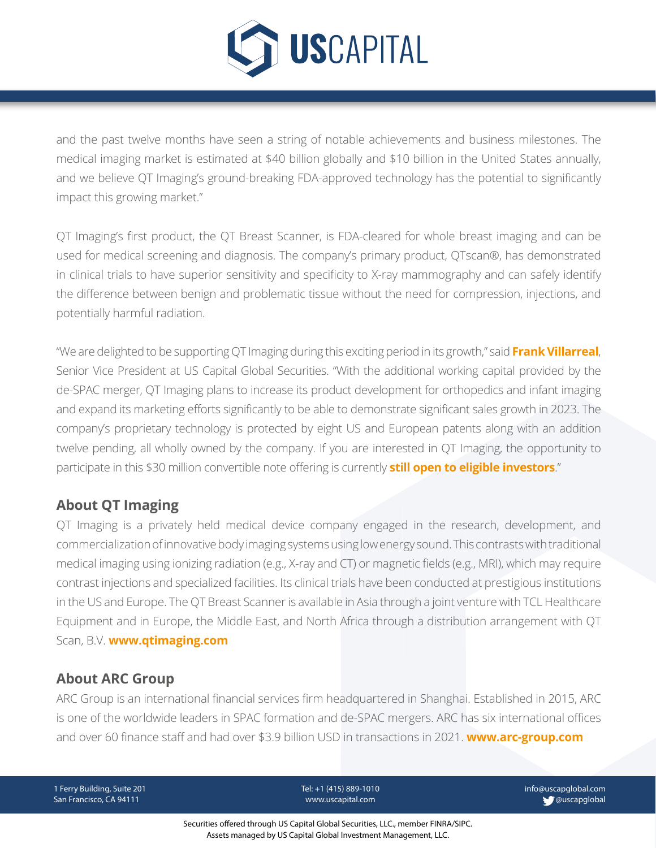

[and the past tw](https://www.uscapglobalsecurities.com/)elve months have seen a string of notable achievements and business milestones. The medical imaging market is estimated at \$40 billion globally and \$10 billion in the United States annually, and we believe QT Imaging's ground-breaking FDA-approved technology has the potential to significantly impact this growing market."

QT Imaging's first product, the QT Breast Scanner, is FDA-cleared for whole breast imaging and can be used for medical screening and diagnosis. The company's primary product, QTscan®, has demonstrated in clinical trials to have superior sensitivity and specificity to X-ray mammography and can safely identify the difference between benign and problematic tissue without the need for compression, injections, and potentially harmful radiation.

"We are delighted to be supporting QT Imaging during this exciting period in its growth," said **[Frank Villarreal](https://uscapglobal.com/team_members.html#frank-villarreal)**, Senior Vice President at US Capital Global Securities. "With the additional working capital provided by the de-SPAC merger, QT Imaging plans to increase its product development for orthopedics and infant imaging and expand its marketing efforts significantly to be able to demonstrate significant sales growth in 2023. The company's proprietary technology is protected by eight US and European patents along with an addition twelve pending, all wholly owned by the company. If you are interested in QT Imaging, the opportunity to participate in this \$30 million convertible note offering is currently **[still open to eligible investors](https://www.uscapglobalsecurities.com/investment-overview/qt-imaging-investment-overview.html)**."

# **About QT Imaging**

QT Imaging is a privately held medical device company engaged in the research, development, and commercialization of innovative body imaging systems using low energy sound. This contrasts with traditional medical imaging using ionizing radiation (e.g., X-ray and CT) or magnetic fields (e.g., MRI), which may require contrast injections and specialized facilities. Its clinical trials have been conducted at prestigious institutions in the US and Europe. The QT Breast Scanner is available in Asia through a joint venture with TCL Healthcare Equipment and in Europe, the Middle East, and North Africa through a distribution arrangement with QT Scan, B.V. **[www.qtimaging.com](http://www.qtimaging.com/)**

### **About ARC Group**

ARC Group is an international financial services firm headquartered in Shanghai. Established in 2015, ARC is one of the worldwide leaders in SPAC formation and de-SPAC mergers. ARC has six international offices and over 60 finance staff and had over \$3.9 billion USD in transactions in 2021. **[www.arc-group.com](http://www.arc-group.com/)**

1 Ferry Building, Suite 201 San Francisco, CA 94111

Tel: +1 (415) 889-1010 www.uscapital.com

info@uscapglobal.com **W** @uscapglobal